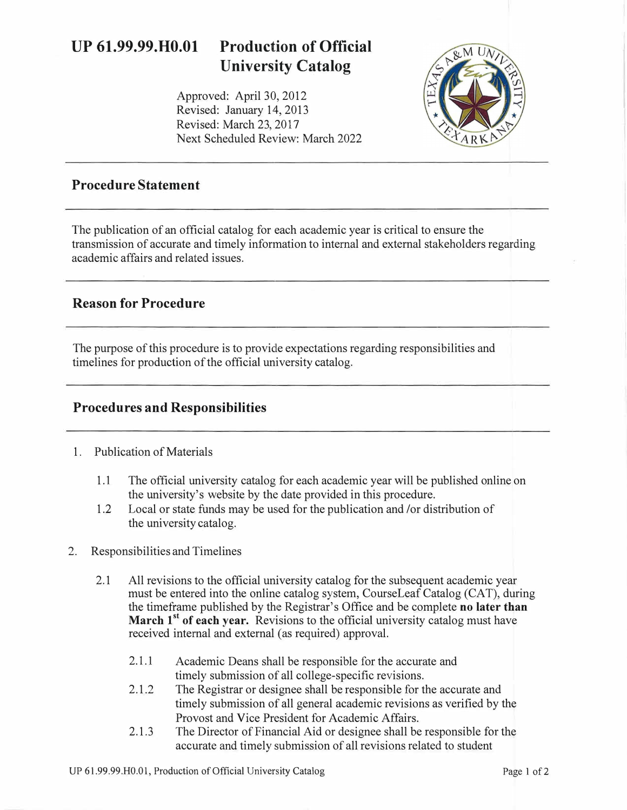# **UP 61.99.99.H0.01 Production of Official University Catalog**

Approved: April 30, 2012 Revised: January 14, 2013 Revised: March 23, 2017 Next Scheduled Review: March 2022



#### **Procedure Statement**

The publication of an official catalog for each academic year is critical to ensure the transmission of accurate and timely information to internal and external stakeholders regarding academic affairs and related issues.

### **Reason for Procedure**

The purpose of this procedure is to provide expectations regarding responsibilities and timelines for production of the official university catalog.

### **Procedures and Responsibilities**

#### 1. Publication of Materials

- 1.1 The official university catalog for each academic year will be published online on the university's website by the date provided in this procedure.
- 1.2 Local or state funds may be used for the publication and /or distribution of the university catalog.
- 2. Responsibilities and Timelines
	- 2.1 All revisions to the official university catalog for the subsequent academic year must be entered into the online catalog system, CourseLeaf Catalog (CAT), during the timeframe published by the Registrar's Office and be complete **no later than**  March 1<sup>st</sup> of each year. Revisions to the official university catalog must have received internal and external (as required) approval.
		- 2.1.1 Academic Deans shall be responsible for the accurate and timely submission of all college-specific revisions.
		- 2.1.2 The Registrar or designee shall be responsible for the accurate and timely submission of all general academic revisions as verified by the Provost and Vice President for Academic Affairs.
		- 2.1.3 The Director of Financial Aid or designee shall be responsible for the accurate and timely submission of all revisions related to student